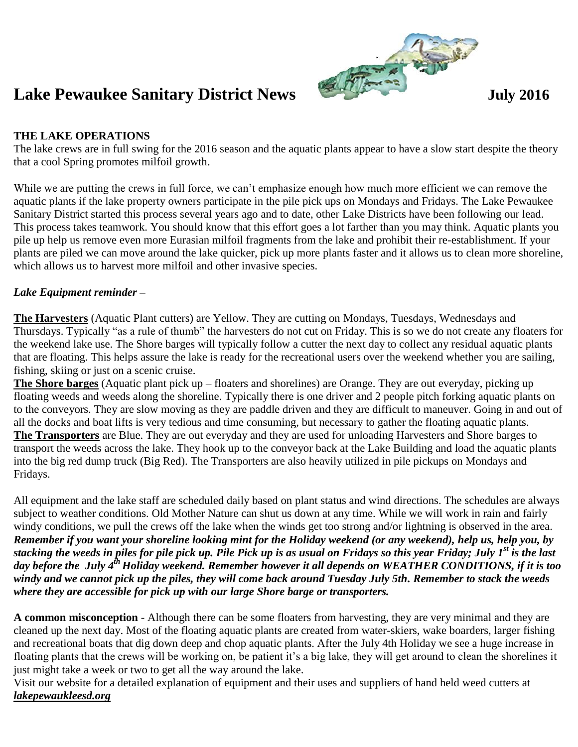

## **THE LAKE OPERATIONS**

The lake crews are in full swing for the 2016 season and the aquatic plants appear to have a slow start despite the theory that a cool Spring promotes milfoil growth.

While we are putting the crews in full force, we can't emphasize enough how much more efficient we can remove the aquatic plants if the lake property owners participate in the pile pick ups on Mondays and Fridays. The Lake Pewaukee Sanitary District started this process several years ago and to date, other Lake Districts have been following our lead. This process takes teamwork. You should know that this effort goes a lot farther than you may think. Aquatic plants you pile up help us remove even more Eurasian milfoil fragments from the lake and prohibit their re-establishment. If your plants are piled we can move around the lake quicker, pick up more plants faster and it allows us to clean more shoreline, which allows us to harvest more milfoil and other invasive species.

## *Lake Equipment reminder –*

**The Harvesters** (Aquatic Plant cutters) are Yellow. They are cutting on Mondays, Tuesdays, Wednesdays and Thursdays. Typically "as a rule of thumb" the harvesters do not cut on Friday. This is so we do not create any floaters for the weekend lake use. The Shore barges will typically follow a cutter the next day to collect any residual aquatic plants that are floating. This helps assure the lake is ready for the recreational users over the weekend whether you are sailing, fishing, skiing or just on a scenic cruise.

**The Shore barges** (Aquatic plant pick up – floaters and shorelines) are Orange. They are out everyday, picking up floating weeds and weeds along the shoreline. Typically there is one driver and 2 people pitch forking aquatic plants on to the conveyors. They are slow moving as they are paddle driven and they are difficult to maneuver. Going in and out of all the docks and boat lifts is very tedious and time consuming, but necessary to gather the floating aquatic plants. **The Transporters** are Blue. They are out everyday and they are used for unloading Harvesters and Shore barges to transport the weeds across the lake. They hook up to the conveyor back at the Lake Building and load the aquatic plants into the big red dump truck (Big Red). The Transporters are also heavily utilized in pile pickups on Mondays and Fridays.

All equipment and the lake staff are scheduled daily based on plant status and wind directions. The schedules are always subject to weather conditions. Old Mother Nature can shut us down at any time. While we will work in rain and fairly windy conditions, we pull the crews off the lake when the winds get too strong and/or lightning is observed in the area. *Remember if you want your shoreline looking mint for the Holiday weekend (or any weekend), help us, help you, by stacking the weeds in piles for pile pick up. Pile Pick up is as usual on Fridays so this year Friday; July 1st is the last day before the July 4th Holiday weekend. Remember however it all depends on WEATHER CONDITIONS, if it is too windy and we cannot pick up the piles, they will come back around Tuesday July 5th. Remember to stack the weeds where they are accessible for pick up with our large Shore barge or transporters.* 

**A common misconception** - Although there can be some floaters from harvesting, they are very minimal and they are cleaned up the next day. Most of the floating aquatic plants are created from water-skiers, wake boarders, larger fishing and recreational boats that dig down deep and chop aquatic plants. After the July 4th Holiday we see a huge increase in floating plants that the crews will be working on, be patient it's a big lake, they will get around to clean the shorelines it just might take a week or two to get all the way around the lake.

Visit our website for a detailed explanation of equipment and their uses and suppliers of hand held weed cutters at *lakepewaukleesd.org*